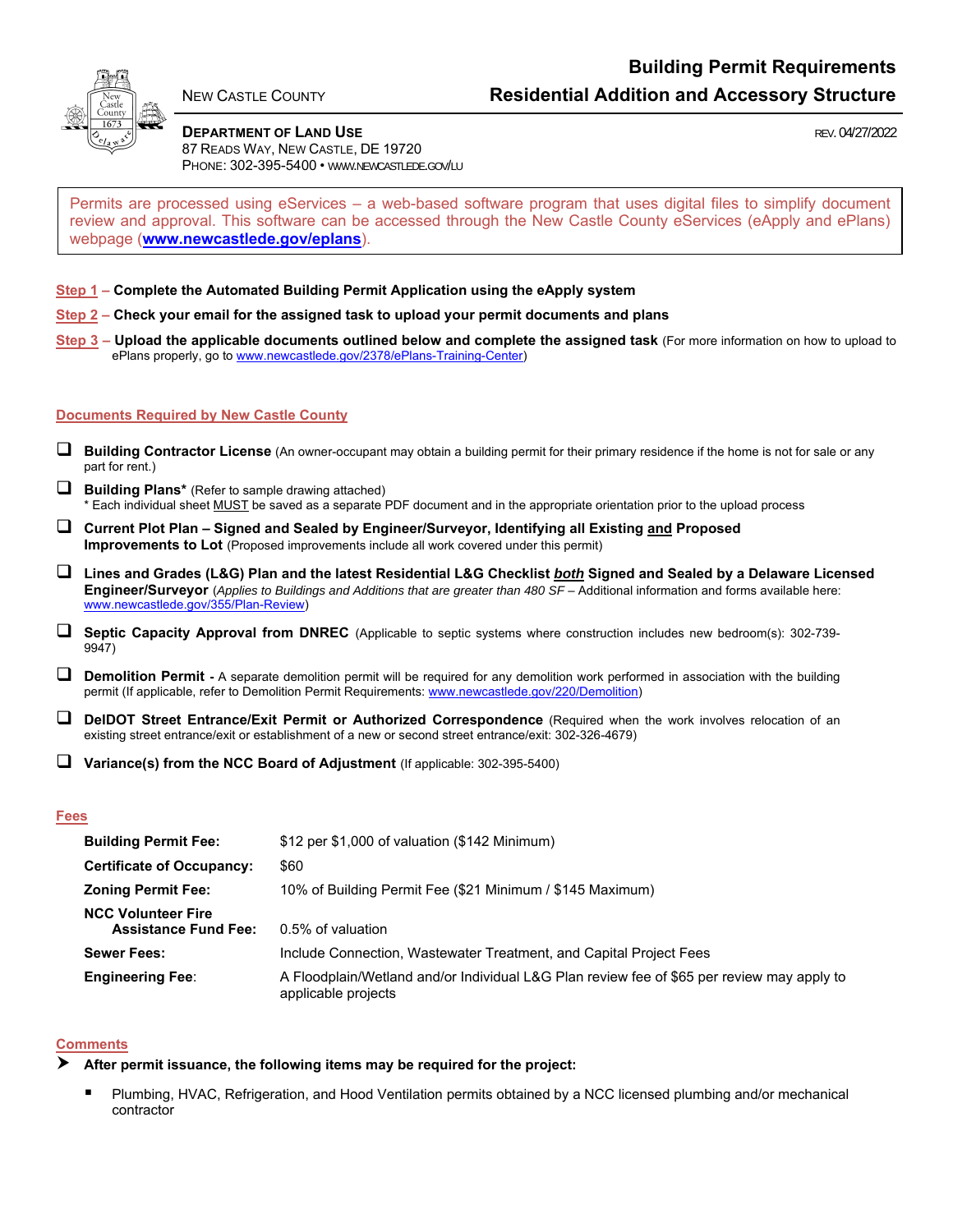

#### **DEPARTMENT OF LAND USE DEPARTMENT OF LAND USE** 87 READS WAY, NEW CASTLE, DE 19720

PHONE: 302-395-5400 • WWW.NEWCASTLEDE.GOV/LU

Permits are processed using eServices – a web-based software program that uses digital files to simplify document review and approval. This software can be accessed through the New Castle County eServices (eApply and ePlans) webpage (**www.newcastlede.gov/eplans**).

# **Step 1 – Complete the Automated Building Permit Application using the eApply system**

**Step 2 – Check your email for the assigned task to upload your permit documents and plans** 

**Step 3 – Upload the applicable documents outlined below and complete the assigned task** (For more information on how to upload to ePlans properly, go to www.newcastlede.gov/2378/ePlans-Training-Center)

## **Documents Required by New Castle County**

- **Building Contractor License** (An owner-occupant may obtain a building permit for their primary residence if the home is not for sale or any part for rent.)
- **Building Plans**\* (Refer to sample drawing attached) \* Each individual sheet MUST be saved as a separate PDF document and in the appropriate orientation prior to the upload process
- **Current Plot Plan Signed and Sealed by Engineer/Surveyor, Identifying all Existing and Proposed Improvements to Lot** (Proposed improvements include all work covered under this permit)
- **Lines and Grades (L&G) Plan and the latest Residential L&G Checklist** *both* **Signed and Sealed by a Delaware Licensed Engineer/Surveyor** (*Applies to Buildings and Additions that are greater than 480 SF* – Additional information and forms available here: www.newcastlede.gov/355/Plan-Review)
- **Septic Capacity Approval from DNREC** (Applicable to septic systems where construction includes new bedroom(s): 302-739- 9947)
- **Demolition Permit** A separate demolition permit will be required for any demolition work performed in association with the building permit (If applicable, refer to Demolition Permit Requirements: www.newcastlede.gov/220/Demolition)
- **DelDOT Street Entrance/Exit Permit or Authorized Correspondence** (Required when the work involves relocation of an existing street entrance/exit or establishment of a new or second street entrance/exit: 302-326-4679)
- **Variance(s) from the NCC Board of Adjustment** (If applicable: 302-395-5400)

#### **Fees**

| <b>Building Permit Fee:</b>                              | $$12$ per $$1,000$ of valuation ( $$142$ Minimum)                                                                 |
|----------------------------------------------------------|-------------------------------------------------------------------------------------------------------------------|
| <b>Certificate of Occupancy:</b>                         | \$60                                                                                                              |
| <b>Zoning Permit Fee:</b>                                | 10% of Building Permit Fee (\$21 Minimum / \$145 Maximum)                                                         |
| <b>NCC Volunteer Fire</b><br><b>Assistance Fund Fee:</b> | 0.5% of valuation                                                                                                 |
| <b>Sewer Fees:</b>                                       | Include Connection, Wastewater Treatment, and Capital Project Fees                                                |
| <b>Engineering Fee:</b>                                  | A Floodplain/Wetland and/or Individual L&G Plan review fee of \$65 per review may apply to<br>applicable projects |

## **Comments**

- **After permit issuance, the following items may be required for the project:** 
	- Plumbing, HVAC, Refrigeration, and Hood Ventilation permits obtained by a NCC licensed plumbing and/or mechanical contractor